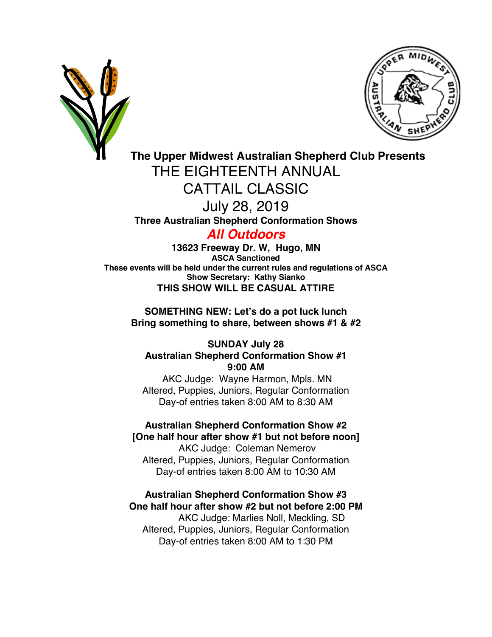



# **The Upper Midwest Australian Shepherd Club Presents** THE EIGHTEENTH ANNUAL CATTAIL CLASSIC July 28, 2019 **Three Australian Shepherd Conformation Shows**

## *All Outdoors*

**13623 Freeway Dr. W, Hugo, MN ASCA Sanctioned These events will be held under the current rules and regulations of ASCA Show Secretary: Kathy Sianko THIS SHOW WILL BE CASUAL ATTIRE**

**SOMETHING NEW: Let's do a pot luck lunch Bring something to share, between shows #1 & #2**

### **SUNDAY July 28 Australian Shepherd Conformation Show #1 9:00 AM**

AKC Judge: Wayne Harmon, Mpls. MN Altered, Puppies, Juniors, Regular Conformation Day-of entries taken 8:00 AM to 8:30 AM

**Australian Shepherd Conformation Show #2 [One half hour after show #1 but not before noon]** AKC Judge: Coleman Nemerov Altered, Puppies, Juniors, Regular Conformation

Day-of entries taken 8:00 AM to 10:30 AM

**Australian Shepherd Conformation Show #3 One half hour after show #2 but not before 2:00 PM** AKC Judge: Marlies Noll, Meckling, SD

Altered, Puppies, Juniors, Regular Conformation Day-of entries taken 8:00 AM to 1:30 PM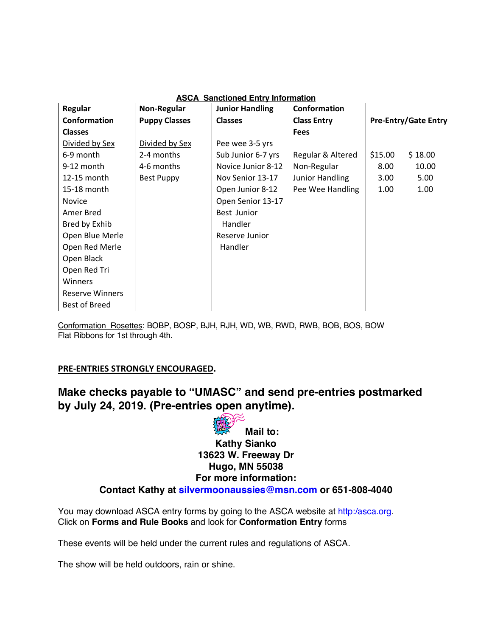| Regular                | Non-Regular          | <b>Junior Handling</b> | Conformation           |                             |
|------------------------|----------------------|------------------------|------------------------|-----------------------------|
| Conformation           | <b>Puppy Classes</b> | <b>Classes</b>         | <b>Class Entry</b>     | <b>Pre-Entry/Gate Entry</b> |
| <b>Classes</b>         |                      |                        | <b>Fees</b>            |                             |
| Divided by Sex         | Divided by Sex       | Pee wee 3-5 yrs        |                        |                             |
| 6-9 month              | 2-4 months           | Sub Junior 6-7 yrs     | Regular & Altered      | \$15.00<br>\$18.00          |
| 9-12 month             | 4-6 months           | Novice Junior 8-12     | Non-Regular            | 8.00<br>10.00               |
| 12-15 month            | <b>Best Puppy</b>    | Nov Senior 13-17       | <b>Junior Handling</b> | 3.00<br>5.00                |
| 15-18 month            |                      | Open Junior 8-12       | Pee Wee Handling       | 1.00<br>1.00                |
| <b>Novice</b>          |                      | Open Senior 13-17      |                        |                             |
| Amer Bred              |                      | Best Junior            |                        |                             |
| Bred by Exhib          |                      | Handler                |                        |                             |
| Open Blue Merle        |                      | Reserve Junior         |                        |                             |
| Open Red Merle         |                      | Handler                |                        |                             |
| Open Black             |                      |                        |                        |                             |
| Open Red Tri           |                      |                        |                        |                             |
| Winners                |                      |                        |                        |                             |
| <b>Reserve Winners</b> |                      |                        |                        |                             |
| <b>Best of Breed</b>   |                      |                        |                        |                             |

#### **ASCA Sanctioned Entry Information**

Conformation Rosettes: BOBP, BOSP, BJH, RJH, WD, WB, RWD, RWB, BOB, BOS, BOW Flat Ribbons for 1st through 4th.

#### **PRE-ENTRIES STRONGLY ENCOURAGED.**

### **Make checks payable to "UMASC" and send pre-entries postmarked by July 24, 2019. (Pre-entries open anytime).**



You may download ASCA entry forms by going to the ASCA website at http:/asca.org. Click on **Forms and Rule Books** and look for **Conformation Entry** forms

These events will be held under the current rules and regulations of ASCA.

The show will be held outdoors, rain or shine.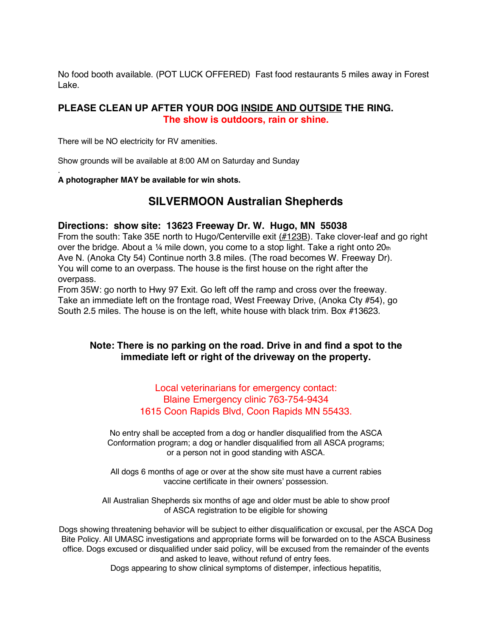No food booth available. (POT LUCK OFFERED) Fast food restaurants 5 miles away in Forest Lake.

#### **PLEASE CLEAN UP AFTER YOUR DOG INSIDE AND OUTSIDE THE RING. The show is outdoors, rain or shine.**

There will be NO electricity for RV amenities.

Show grounds will be available at 8:00 AM on Saturday and Sunday

#### . **A photographer MAY be available for win shots.**

### **SILVERMOON Australian Shepherds**

#### **Directions: show site: 13623 Freeway Dr. W. Hugo, MN 55038**

From the south: Take 35E north to Hugo/Centerville exit (#123B). Take clover-leaf and go right over the bridge. About a 1/4 mile down, you come to a stop light. Take a right onto 20th Ave N. (Anoka Cty 54) Continue north 3.8 miles. (The road becomes W. Freeway Dr). You will come to an overpass. The house is the first house on the right after the overpass.

From 35W: go north to Hwy 97 Exit. Go left off the ramp and cross over the freeway. Take an immediate left on the frontage road, West Freeway Drive, (Anoka Cty #54), go South 2.5 miles. The house is on the left, white house with black trim. Box #13623.

#### **Note: There is no parking on the road. Drive in and find a spot to the immediate left or right of the driveway on the property.**

Local veterinarians for emergency contact: Blaine Emergency clinic 763-754-9434 1615 Coon Rapids Blvd, Coon Rapids MN 55433.

No entry shall be accepted from a dog or handler disqualified from the ASCA Conformation program; a dog or handler disqualified from all ASCA programs; or a person not in good standing with ASCA.

All dogs 6 months of age or over at the show site must have a current rabies vaccine certificate in their owners' possession.

All Australian Shepherds six months of age and older must be able to show proof of ASCA registration to be eligible for showing

Dogs showing threatening behavior will be subject to either disqualification or excusal, per the ASCA Dog Bite Policy. All UMASC investigations and appropriate forms will be forwarded on to the ASCA Business office. Dogs excused or disqualified under said policy, will be excused from the remainder of the events and asked to leave, without refund of entry fees.

Dogs appearing to show clinical symptoms of distemper, infectious hepatitis,